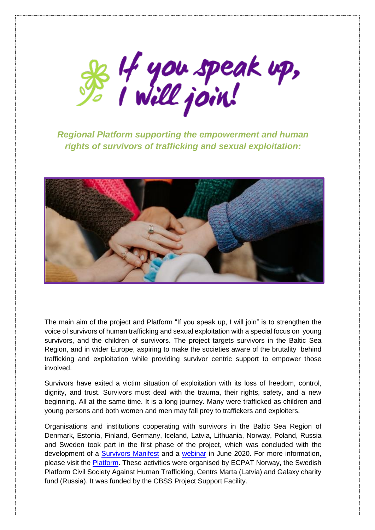

*Regional Platform supporting the empowerment and human rights of survivors of trafficking and sexual exploitation:*



The main aim of the project and Platform "If you speak up, I will join" is to strengthen the voice of survivors of human trafficking and sexual exploitation with a special focus on young survivors, and the children of survivors. The project targets survivors in the Baltic Sea Region, and in wider Europe, aspiring to make the societies aware of the brutality behind trafficking and exploitation while providing survivor centric support to empower those involved.

Survivors have exited a victim situation of exploitation with its loss of freedom, control, dignity, and trust. Survivors must deal with the trauma, their rights, safety, and a new beginning. All at the same time. It is a long journey. Many were trafficked as children and young persons and both women and men may fall prey to traffickers and exploiters.

Organisations and institutions cooperating with survivors in the Baltic Sea Region of Denmark, Estonia, Finland, Germany, Iceland, Latvia, Lithuania, Norway, Poland, Russia and Sweden took part in the first phase of the project, which was concluded with the development of a [Survivors Manifest](https://ifyouspeakup.com/survivors-manifest/) and a [webinar](https://ifyouspeakup.com/webinar/) in June 2020. For more information, please visit the [Platform.](https://ifyouspeakup.com/) These activities were organised by ECPAT Norway, the Swedish Platform Civil Society Against Human Trafficking, Centrs Marta (Latvia) and Galaxy charity fund (Russia). It was funded by the CBSS Project Support Facility.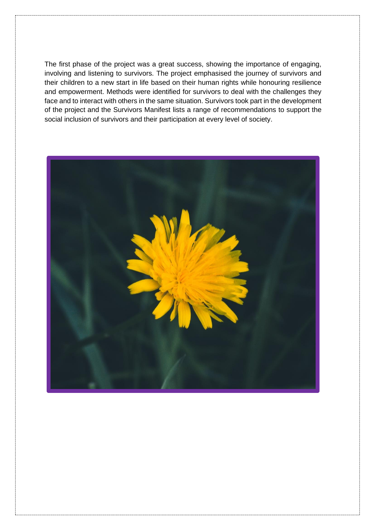The first phase of the project was a great success, showing the importance of engaging, involving and listening to survivors. The project emphasised the journey of survivors and their children to a new start in life based on their human rights while honouring resilience and empowerment. Methods were identified for survivors to deal with the challenges they face and to interact with others in the same situation. Survivors took part in the development of the project and the Survivors Manifest lists a range of recommendations to support the social inclusion of survivors and their participation at every level of society.

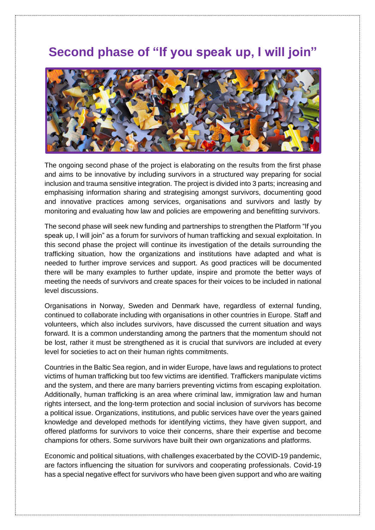# **Second phase of "If you speak up, I will join"**



The ongoing second phase of the project is elaborating on the results from the first phase and aims to be innovative by including survivors in a structured way preparing for social inclusion and trauma sensitive integration. The project is divided into 3 parts; increasing and emphasising information sharing and strategising amongst survivors, documenting good and innovative practices among services, organisations and survivors and lastly by monitoring and evaluating how law and policies are empowering and benefitting survivors.

The second phase will seek new funding and partnerships to strengthen the Platform "If you speak up, I will join" as a forum for survivors of human trafficking and sexual exploitation. In this second phase the project will continue its investigation of the details surrounding the trafficking situation, how the organizations and institutions have adapted and what is needed to further improve services and support. As good practices will be documented there will be many examples to further update, inspire and promote the better ways of meeting the needs of survivors and create spaces for their voices to be included in national level discussions.

Organisations in Norway, Sweden and Denmark have, regardless of external funding, continued to collaborate including with organisations in other countries in Europe. Staff and volunteers, which also includes survivors, have discussed the current situation and ways forward. It is a common understanding among the partners that the momentum should not be lost, rather it must be strengthened as it is crucial that survivors are included at every level for societies to act on their human rights commitments.

Countries in the Baltic Sea region, and in wider Europe, have laws and regulations to protect victims of human trafficking but too few victims are identified. Traffickers manipulate victims and the system, and there are many barriers preventing victims from escaping exploitation. Additionally, human trafficking is an area where criminal law, immigration law and human rights intersect, and the long-term protection and social inclusion of survivors has become a political issue. Organizations, institutions, and public services have over the years gained knowledge and developed methods for identifying victims, they have given support, and offered platforms for survivors to voice their concerns, share their expertise and become champions for others. Some survivors have built their own organizations and platforms.

Economic and political situations, with challenges exacerbated by the COVID-19 pandemic, are factors influencing the situation for survivors and cooperating professionals. Covid-19 has a special negative effect for survivors who have been given support and who are waiting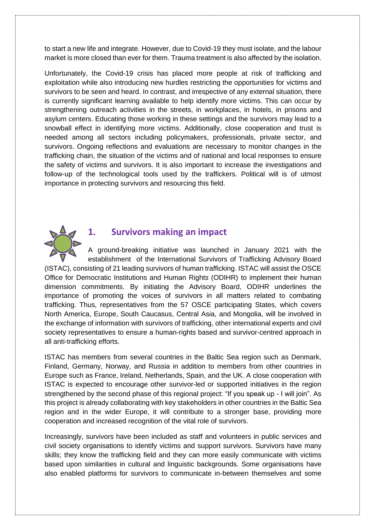to start a new life and integrate. However, due to Covid-19 they must isolate, and the labour market is more closed than ever for them. Trauma treatment is also affected by the isolation.

Unfortunately, the Covid-19 crisis has placed more people at risk of trafficking and exploitation while also introducing new hurdles restricting the opportunities for victims and survivors to be seen and heard. In contrast, and irrespective of any external situation, there is currently significant learning available to help identify more victims. This can occur by strengthening outreach activities in the streets, in workplaces, in hotels, in prisons and asylum centers. Educating those working in these settings and the survivors may lead to a snowball effect in identifying more victims. Additionally, close cooperation and trust is needed among all sectors including policymakers, professionals, private sector, and survivors. Ongoing reflections and evaluations are necessary to monitor changes in the trafficking chain, the situation of the victims and of national and local responses to ensure the safety of victims and survivors. It is also important to increase the investigations and follow-up of the technological tools used by the traffickers. Political will is of utmost importance in protecting survivors and resourcing this field.



### **1. Survivors making an impact**

A ground-breaking initiative was launched in January 2021 with the establishment of the International Survivors of Trafficking Advisory Board (ISTAC), consisting of 21 leading survivors of human trafficking. ISTAC will assist the OSCE Office for Democratic Institutions and Human Rights (ODIHR) to implement their human dimension commitments. By initiating the Advisory Board, ODIHR underlines the importance of promoting the voices of survivors in all matters related to combating trafficking. Thus, representatives from the 57 OSCE participating States, which covers North America, Europe, South Caucasus, Central Asia, and Mongolia, will be involved in the exchange of information with survivors of trafficking, other international experts and civil society representatives to ensure a human-rights based and survivor-centred approach in all anti-trafficking efforts.

ISTAC has members from several countries in the Baltic Sea region such as Denmark, Finland, Germany, Norway, and Russia in addition to members from other countries in Europe such as France, Ireland, Netherlands, Spain, and the UK. A close cooperation with ISTAC is expected to encourage other survivor-led or supported initiatives in the region strengthened by the second phase of this regional project: "If you speak up - I will join". As this project is already collaborating with key stakeholders in other countries in the Baltic Sea region and in the wider Europe, it will contribute to a stronger base, providing more cooperation and increased recognition of the vital role of survivors.

Increasingly, survivors have been included as staff and volunteers in public services and civil society organisations to identify victims and support survivors. Survivors have many skills; they know the trafficking field and they can more easily communicate with victims based upon similarities in cultural and linguistic backgrounds. Some organisations have also enabled platforms for survivors to communicate in-between themselves and some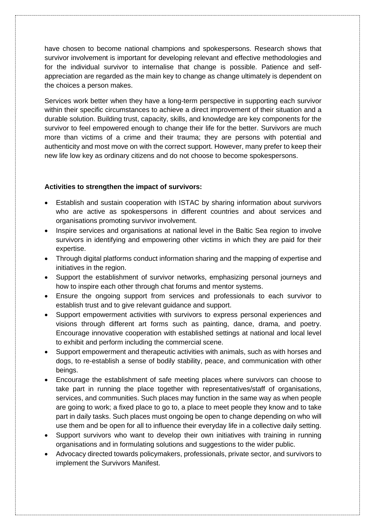have chosen to become national champions and spokespersons. Research shows that survivor involvement is important for developing relevant and effective methodologies and for the individual survivor to internalise that change is possible. Patience and selfappreciation are regarded as the main key to change as change ultimately is dependent on the choices a person makes.

Services work better when they have a long-term perspective in supporting each survivor within their specific circumstances to achieve a direct improvement of their situation and a durable solution. Building trust, capacity, skills, and knowledge are key components for the survivor to feel empowered enough to change their life for the better. Survivors are much more than victims of a crime and their trauma; they are persons with potential and authenticity and most move on with the correct support. However, many prefer to keep their new life low key as ordinary citizens and do not choose to become spokespersons.

#### **Activities to strengthen the impact of survivors:**

- Establish and sustain cooperation with ISTAC by sharing information about survivors who are active as spokespersons in different countries and about services and organisations promoting survivor involvement.
- Inspire services and organisations at national level in the Baltic Sea region to involve survivors in identifying and empowering other victims in which they are paid for their expertise.
- Through digital platforms conduct information sharing and the mapping of expertise and initiatives in the region.
- Support the establishment of survivor networks, emphasizing personal journeys and how to inspire each other through chat forums and mentor systems.
- Ensure the ongoing support from services and professionals to each survivor to establish trust and to give relevant guidance and support.
- Support empowerment activities with survivors to express personal experiences and visions through different art forms such as painting, dance, drama, and poetry. Encourage innovative cooperation with established settings at national and local level to exhibit and perform including the commercial scene.
- Support empowerment and therapeutic activities with animals, such as with horses and dogs, to re-establish a sense of bodily stability, peace, and communication with other beings.
- Encourage the establishment of safe meeting places where survivors can choose to take part in running the place together with representatives/staff of organisations, services, and communities. Such places may function in the same way as when people are going to work; a fixed place to go to, a place to meet people they know and to take part in daily tasks. Such places must ongoing be open to change depending on who will use them and be open for all to influence their everyday life in a collective daily setting.
- Support survivors who want to develop their own initiatives with training in running organisations and in formulating solutions and suggestions to the wider public.
- Advocacy directed towards policymakers, professionals, private sector, and survivors to implement the Survivors Manifest.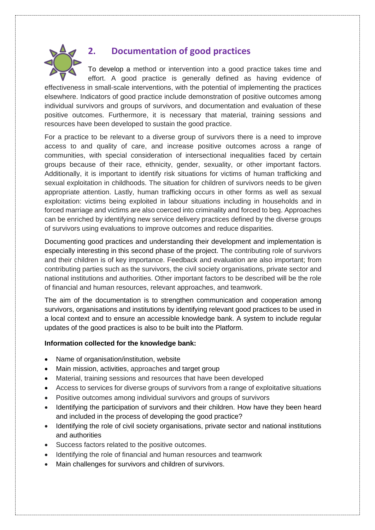

# **2. Documentation of good practices**

To develop a method or intervention into a good practice takes time and effort. A good practice is generally defined as having evidence of effectiveness in small-scale interventions, with the potential of implementing the practices elsewhere. Indicators of good practice include demonstration of positive outcomes among individual survivors and groups of survivors, and documentation and evaluation of these positive outcomes. Furthermore, it is necessary that material, training sessions and resources have been developed to sustain the good practice.

For a practice to be relevant to a diverse group of survivors there is a need to improve access to and quality of care, and increase positive outcomes across a range of communities, with special consideration of intersectional inequalities faced by certain groups because of their race, ethnicity, gender, sexuality, or other important factors. Additionally, it is important to identify risk situations for victims of human trafficking and sexual exploitation in childhoods. The situation for children of survivors needs to be given appropriate attention. Lastly, human trafficking occurs in other forms as well as sexual exploitation: victims being exploited in labour situations including in households and in forced marriage and victims are also coerced into criminality and forced to beg. Approaches can be enriched by identifying new service delivery practices defined by the diverse groups of survivors using evaluations to improve outcomes and reduce disparities.

Documenting good practices and understanding their development and implementation is especially interesting in this second phase of the project. The contributing role of survivors and their children is of key importance. Feedback and evaluation are also important; from contributing parties such as the survivors, the civil society organisations, private sector and national institutions and authorities. Other important factors to be described will be the role of financial and human resources, relevant approaches, and teamwork.

The aim of the documentation is to strengthen communication and cooperation among survivors, organisations and institutions by identifying relevant good practices to be used in a local context and to ensure an accessible knowledge bank. A system to include regular updates of the good practices is also to be built into the Platform.

#### **Information collected for the knowledge bank:**

- Name of organisation/institution, website
- Main mission, activities, approaches and target group
- Material, training sessions and resources that have been developed
- Access to services for diverse groups of survivors from a range of exploitative situations
- Positive outcomes among individual survivors and groups of survivors
- Identifying the participation of survivors and their children. How have they been heard and included in the process of developing the good practice?
- Identifying the role of civil society organisations, private sector and national institutions and authorities
- Success factors related to the positive outcomes.
- Identifying the role of financial and human resources and teamwork
- Main challenges for survivors and children of survivors.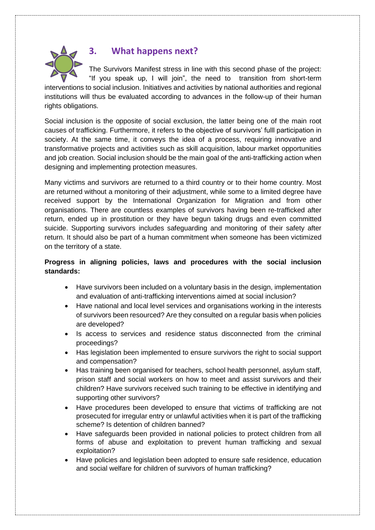

## **3. What happens next?**

The Survivors Manifest stress in line with this second phase of the project: "If you speak up, I will join", the need to transition from short-term interventions to social inclusion. Initiatives and activities by national authorities and regional institutions will thus be evaluated according to advances in the follow-up of their human rights obligations.

Social inclusion is the opposite of social exclusion, the latter being one of the main root causes of trafficking. Furthermore, it refers to the objective of survivors' fulll participation in society. At the same time, it conveys the idea of a process, requiring innovative and transformative projects and activities such as skill acquisition, labour market opportunities and job creation. Social inclusion should be the main goal of the anti-trafficking action when designing and implementing protection measures.

Many victims and survivors are returned to a third country or to their home country. Most are returned without a monitoring of their adjustment, while some to a limited degree have received support by the International Organization for Migration and from other organisations. There are countless examples of survivors having been re-trafficked after return, ended up in prostitution or they have begun taking drugs and even committed suicide. Supporting survivors includes safeguarding and monitoring of their safety after return. It should also be part of a human commitment when someone has been victimized on the territory of a state.

### **Progress in aligning policies, laws and procedures with the social inclusion standards:**

- Have survivors been included on a voluntary basis in the design, implementation and evaluation of anti-trafficking interventions aimed at social inclusion?
- Have national and local level services and organisations working in the interests of survivors been resourced? Are they consulted on a regular basis when policies are developed?
- Is access to services and residence status disconnected from the criminal proceedings?
- Has legislation been implemented to ensure survivors the right to social support and compensation?
- Has training been organised for teachers, school health personnel, asylum staff, prison staff and social workers on how to meet and assist survivors and their children? Have survivors received such training to be effective in identifying and supporting other survivors?
- Have procedures been developed to ensure that victims of trafficking are not prosecuted for irregular entry or unlawful activities when it is part of the trafficking scheme? Is detention of children banned?
- Have safeguards been provided in national policies to protect children from all forms of abuse and exploitation to prevent human trafficking and sexual exploitation?
- Have policies and legislation been adopted to ensure safe residence, education and social welfare for children of survivors of human trafficking?